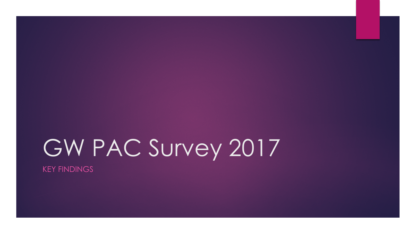# GW PAC Survey 2017

KEY FINDINGS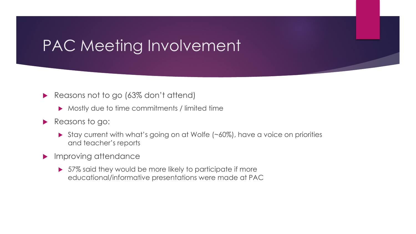### PAC Meeting Involvement

### Reasons not to go (63% don't attend)

- **Mostly due to time commitments / limited time**
- Reasons to go:
	- ▶ Stay current with what's going on at Wolfe (~60%), have a voice on priorities and teacher's reports
- **Improving attendance** 
	- ▶ 57% said they would be more likely to participate if more educational/informative presentations were made at PAC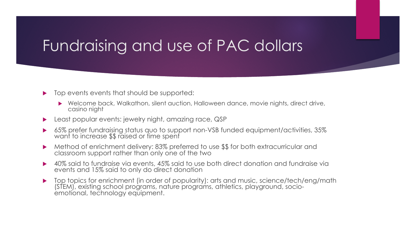### Fundraising and use of PAC dollars

#### Top events events that should be supported:

- ▶ Welcome back, Walkathon, silent auction, Halloween dance, movie nights, direct drive, casino night
- **Least popular events: jewelry night, amazing race, QSP**
- 65% prefer fundraising status quo to support non-VSB funded equipment/activities, 35% want to increase \$\$ raised or time spent
- ▶ Method of enrichment delivery: 83% preferred to use \$\$ for both extracurricular and classroom support rather than only one of the two
- ▶ 40% said to fundraise via events, 45% said to use both direct donation and fundraise via events and 15% said to only do direct donation
- ▶ Top topics for enrichment (in order of popularity): arts and music, science/tech/eng/math (STEM), existing school programs, nature programs, athletics, playground, socio- emotional, technology equipment.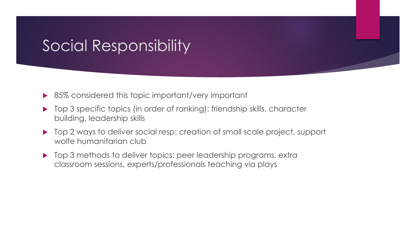### Social Responsibility

- ▶ 85% considered this topic important/very important
- ▶ Top 3 specific topics (in order of ranking): friendship skills, character building, leadership skills
- ▶ Top 2 ways to deliver social resp: creation of small scale project, support wolfe humanitarian club
- ▶ Top 3 methods to deliver topics: peer leadership programs, extra classroom sessions, experts/professionals teaching via plays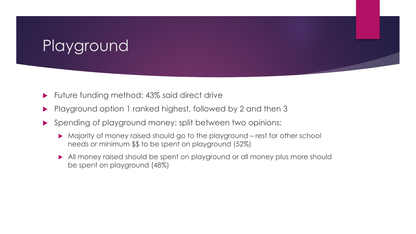## Playground

- ▶ Future funding method: 43% said direct drive
- Playground option 1 ranked highest, followed by 2 and then 3
- Spending of playground money: split between two opinions:
	- Majority of money raised should go to the playground rest for other school needs or minimum \$\$ to be spent on playground (52%)
	- All money raised should be spent on playground or all money plus more should be spent on playground (48%)